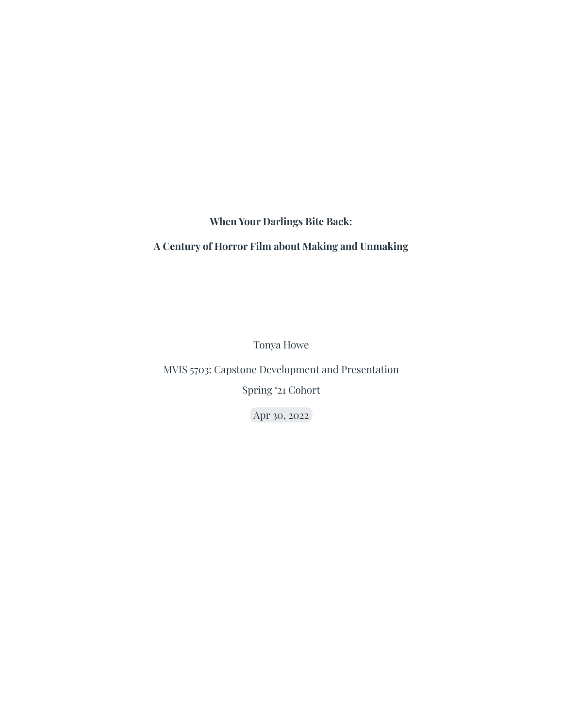**When Your Darlings Bite Back:**

#### **A Century of Horror Film about Making and Unmaking**

Tonya Howe

MVIS 5703: Capstone Development and Presentation

Spring '21 Cohort

Apr 30, 2022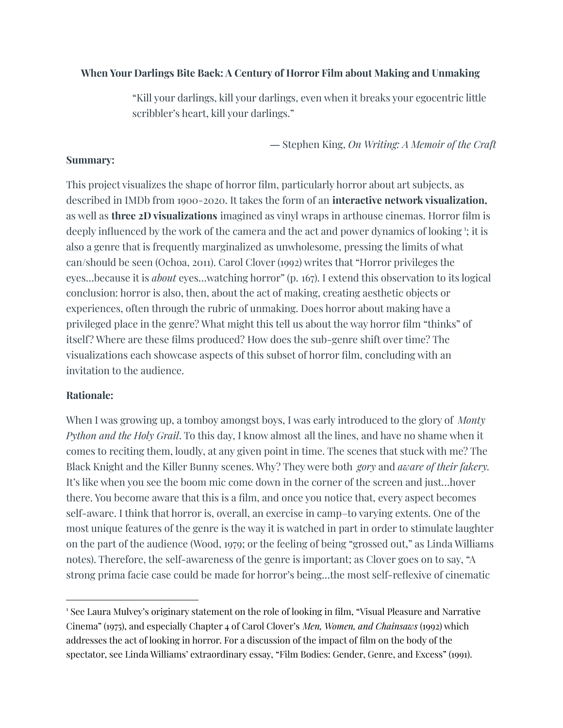#### **When Your Darlings Bite Back: A Century of Horror Film about Making and Unmaking**

"Kill your darlings, kill your darlings, even when it breaks your egocentric little scribbler's heart, kill your darlings."

― Stephen King, *On Writing: A Memoir of the Craft*

#### **Summary:**

This project visualizes the shape of horror film, particularly horror about art subjects, as described in IMDb from 1900-2020. It takes the form of an **interactive network visualization,** as well as **three 2D visualizations** imagined as vinyl wraps in arthouse cinemas. Horror film is deeply influenced by the work of the camera and the act and power dynamics of looking  $\cdot$ ; it is also a genre that is frequently marginalized as unwholesome, pressing the limits of what can/should be seen (Ochoa, 2011). Carol Clover (1992) writes that "Horror privileges the eyes…because it is *about* eyes…watching horror" (p. 167). I extend this observation to its logical conclusion: horror is also, then, about the act of making, creating aesthetic objects or experiences, often through the rubric of unmaking. Does horror about making have a privileged place in the genre? What might this tell us about the way horror film "thinks" of itself? Where are these films produced? How does the sub-genre shift over time? The visualizations each showcase aspects of this subset of horror film, concluding with an invitation to the audience.

# **Rationale:**

When I was growing up, a tomboy amongst boys, I was early introduced to the glory of *Monty Python and the Holy Grail*. To this day, I know almost all the lines, and have no shame when it comes to reciting them, loudly, at any given point in time. The scenes that stuck with me? The Black Knight and the Killer Bunny scenes. Why? They were both *gory* and *aware of their fakery.* It's like when you see the boom mic come down in the corner of the screen and just…hover there. You become aware that this is a film, and once you notice that, every aspect becomes self-aware. I think that horror is, overall, an exercise in camp–to varying extents. One of the most unique features of the genre is the way it is watched in part in order to stimulate laughter on the part of the audience (Wood, 1979; or the feeling of being "grossed out," as Linda Williams notes). Therefore, the self-awareness of the genre is important; as Clover goes on to say, "A strong prima facie case could be made for horror's being…the most self-reflexive of cinematic

<sup>1</sup> See Laura Mulvey's originary statement on the role of looking in film, "Visual Pleasure and Narrative Cinema" (1975), and especially Chapter 4 of Carol Clover's *Men, Women, and Chainsaws* (1992) which addresses the act of looking in horror. For a discussion of the impact of film on the body of the spectator, see Linda Williams' extraordinary essay, "Film Bodies: Gender, Genre, and Excess" (1991).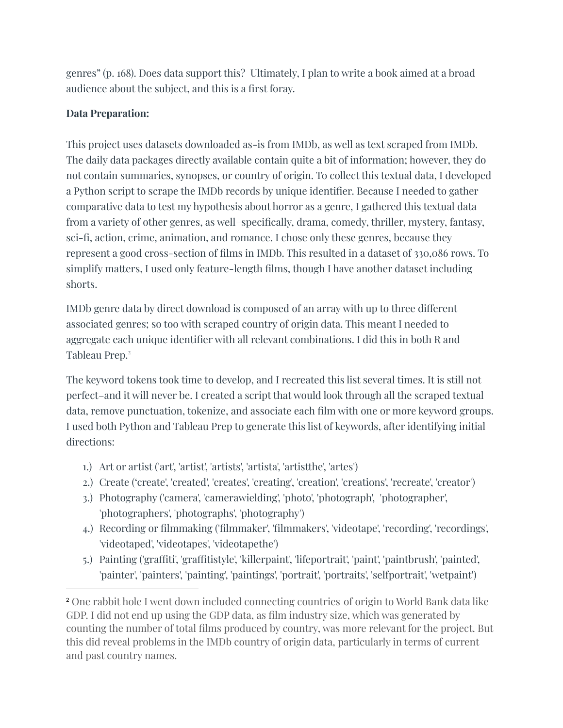genres" (p. 168). Does data support this? Ultimately, I plan to write a book aimed at a broad audience about the subject, and this is a first foray.

# **Data Preparation:**

This project uses datasets downloaded as-is from IMDb, as well as text scraped from IMDb. The daily data packages directly available contain quite a bit of information; however, they do not contain summaries, synopses, or country of origin. To collect this textual data, I developed a Python script to scrape the IMDb records by unique identifier. Because I needed to gather comparative data to test my hypothesis about horror as a genre, I gathered this textual data from a variety of other genres, as well–specifically, drama, comedy, thriller, mystery, fantasy, sci-fi, action, crime, animation, and romance. I chose only these genres, because they represent a good cross-section of films in IMDb. This resulted in a dataset of 330,086 rows. To simplify matters, I used only feature-length films, though I have another dataset including shorts.

IMDb genre data by direct download is composed of an array with up to three different associated genres; so too with scraped country of origin data. This meant I needed to aggregate each unique identifier with all relevant combinations. I did this in both R and Tableau Prep. 2

The keyword tokens took time to develop, and I recreated this list several times. It is still not perfect–and it will never be. I created a script that would look through all the scraped textual data, remove punctuation, tokenize, and associate each film with one or more keyword groups. I used both Python and Tableau Prep to generate this list of keywords, after identifying initial directions:

- 1.) Art or artist ('art', 'artist', 'artists', 'artista', 'artistthe', 'artes')
- 2.) Create ('create', 'created', 'creates', 'creating', 'creation', 'creations', 'recreate', 'creator')
- 3.) Photography ('camera', 'camerawielding', 'photo', 'photograph', 'photographer', 'photographers', 'photographs', 'photography')
- 4.) Recording or filmmaking ('filmmaker', 'filmmakers', 'videotape', 'recording', 'recordings', 'videotaped', 'videotapes', 'videotapethe')
- 5.) Painting ('graffiti', 'graffitistyle', 'killerpaint', 'lifeportrait', 'paint', 'paintbrush', 'painted', 'painter', 'painters', 'painting', 'paintings', 'portrait', 'portraits', 'selfportrait', 'wetpaint')

<sup>2</sup> One rabbit hole I went down included connecting countries of origin to World Bank data like GDP. I did not end up using the GDP data, as film industry size, which was generated by counting the number of total films produced by country, was more relevant for the project. But this did reveal problems in the IMDb country of origin data, particularly in terms of current and past country names.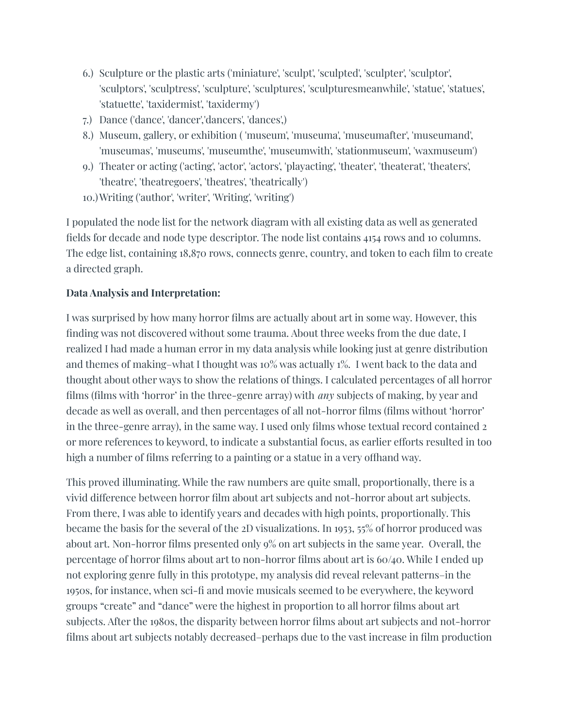- 6.) Sculpture or the plastic arts ('miniature', 'sculpt', 'sculpted', 'sculpter', 'sculptor', 'sculptors', 'sculptress', 'sculpture', 'sculptures', 'sculpturesmeanwhile', 'statue', 'statues', 'statuette', 'taxidermist', 'taxidermy')
- 7.) Dance ('dance', 'dancer','dancers', 'dances',)
- 8.) Museum, gallery, or exhibition ( 'museum', 'museuma', 'museumafter', 'museumand', 'museumas', 'museums', 'museumthe', 'museumwith', 'stationmuseum', 'waxmuseum')
- 9.) Theater or acting ('acting', 'actor', 'actors', 'playacting', 'theater', 'theaterat', 'theaters', 'theatre', 'theatregoers', 'theatres', 'theatrically')
- 10.)Writing ('author', 'writer', 'Writing', 'writing')

I populated the node list for the network diagram with all existing data as well as generated fields for decade and node type descriptor. The node list contains 4154 rows and 10 columns. The edge list, containing 18,870 rows, connects genre, country, and token to each film to create a directed graph.

# **Data Analysis and Interpretation:**

I was surprised by how many horror films are actually about art in some way. However, this finding was not discovered without some trauma. About three weeks from the due date, I realized I had made a human error in my data analysis while looking just at genre distribution and themes of making–what I thought was 10% was actually 1%. I went back to the data and thought about other ways to show the relations of things. I calculated percentages of all horror films (films with 'horror' in the three-genre array) with *any* subjects of making, by year and decade as well as overall, and then percentages of all not-horror films (films without 'horror' in the three-genre array), in the same way. I used only films whose textual record contained 2 or more references to keyword, to indicate a substantial focus, as earlier efforts resulted in too high a number of films referring to a painting or a statue in a very offhand way.

This proved illuminating. While the raw numbers are quite small, proportionally, there is a vivid difference between horror film about art subjects and not-horror about art subjects. From there, I was able to identify years and decades with high points, proportionally. This became the basis for the several of the 2D visualizations. In 1953, 55% of horror produced was about art. Non-horror films presented only 9% on art subjects in the same year. Overall, the percentage of horror films about art to non-horror films about art is 60/40. While I ended up not exploring genre fully in this prototype, my analysis did reveal relevant patterns–in the 1950s, for instance, when sci-fi and movie musicals seemed to be everywhere, the keyword groups "create" and "dance" were the highest in proportion to all horror films about art subjects. After the 1980s, the disparity between horror films about art subjects and not-horror films about art subjects notably decreased–perhaps due to the vast increase in film production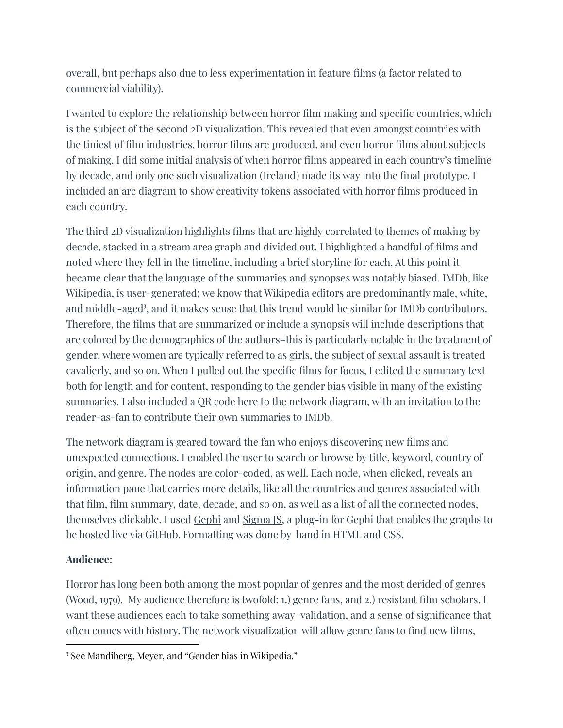overall, but perhaps also due to less experimentation in feature films (a factor related to commercial viability).

I wanted to explore the relationship between horror film making and specific countries, which is the subject of the second 2D visualization. This revealed that even amongst countries with the tiniest of film industries, horror films are produced, and even horror films about subjects of making. I did some initial analysis of when horror films appeared in each country's timeline by decade, and only one such visualization (Ireland) made its way into the final prototype. I included an arc diagram to show creativity tokens associated with horror films produced in each country.

The third 2D visualization highlights films that are highly correlated to themes of making by decade, stacked in a stream area graph and divided out. I highlighted a handful of films and noted where they fell in the timeline, including a brief storyline for each. At this point it became clear that the language of the summaries and synopses was notably biased. IMDb, like Wikipedia, is user-generated; we know that Wikipedia editors are predominantly male, white, and middle-aged 3 , and it makes sense that this trend would be similar for IMDb contributors. Therefore, the films that are summarized or include a synopsis will include descriptions that are colored by the demographics of the authors–this is particularly notable in the treatment of gender, where women are typically referred to as girls, the subject of sexual assault is treated cavalierly, and so on. When I pulled out the specific films for focus, I edited the summary text both for length and for content, responding to the gender bias visible in many of the existing summaries. I also included a QR code here to the network diagram, with an invitation to the reader-as-fan to contribute their own summaries to IMDb.

The network diagram is geared toward the fan who enjoys discovering new films and unexpected connections. I enabled the user to search or browse by title, keyword, country of origin, and genre. The nodes are color-coded, as well. Each node, when clicked, reveals an information pane that carries more details, like all the countries and genres associated with that film, film summary, date, decade, and so on, as well as a list of all the connected nodes, themselves clickable. I used [Gephi](https://gephi.org/) and [Sigma](https://www.sigmajs.org/) JS, a plug-in for Gephi that enables the graphs to be hosted live via GitHub. Formatting was done by hand in HTML and CSS.

# **Audience:**

Horror has long been both among the most popular of genres and the most derided of genres (Wood, 1979). My audience therefore is twofold: 1.) genre fans, and 2.) resistant film scholars. I want these audiences each to take something away–validation, and a sense of significance that often comes with history. The network visualization will allow genre fans to find new films,

<sup>3</sup> See Mandiberg, Meyer, and "Gender bias in Wikipedia."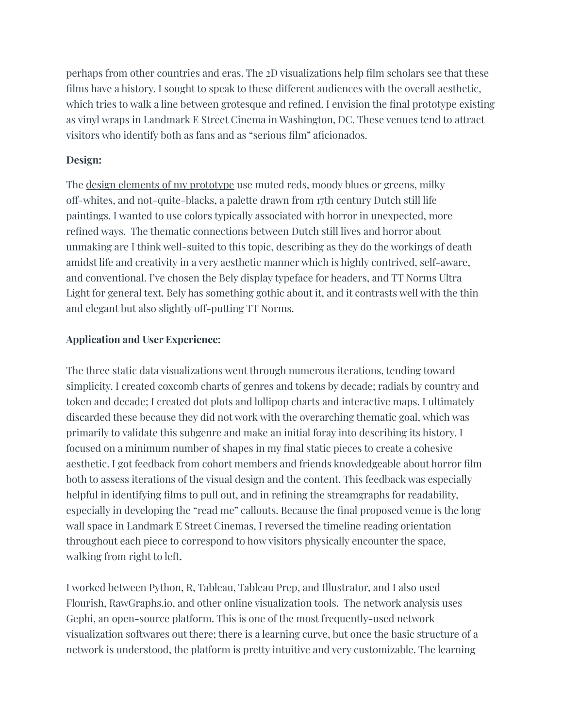perhaps from other countries and eras. The 2D visualizations help film scholars see that these films have a history. I sought to speak to these different audiences with the overall aesthetic, which tries to walk a line between grotesque and refined. I envision the final prototype existing as vinyl wraps in Landmark E Street Cinema in Washington, DC. These venues tend to attract visitors who identify both as fans and as "serious film" aficionados.

#### **Design:**

The design elements of my [prototype](https://app.milanote.com/1Nkv6D1IYbWK0e?p=bIG8FD9C1dJ) use muted reds, moody blues or greens, milky off-whites, and not-quite-blacks, a palette drawn from 17th century Dutch still life paintings. I wanted to use colors typically associated with horror in unexpected, more refined ways. The thematic connections between Dutch still lives and horror about unmaking are I think well-suited to this topic, describing as they do the workings of death amidst life and creativity in a very aesthetic manner which is highly contrived, self-aware, and conventional. I've chosen the Bely display typeface for headers, and TT Norms Ultra Light for general text. Bely has something gothic about it, and it contrasts well with the thin and elegant but also slightly off-putting TT Norms.

# **Application and User Experience:**

The three static data visualizations went through numerous iterations, tending toward simplicity. I created coxcomb charts of genres and tokens by decade; radials by country and token and decade; I created dot plots and lollipop charts and interactive maps. I ultimately discarded these because they did not work with the overarching thematic goal, which was primarily to validate this subgenre and make an initial foray into describing its history. I focused on a minimum number of shapes in my final static pieces to create a cohesive aesthetic. I got feedback from cohort members and friends knowledgeable about horror film both to assess iterations of the visual design and the content. This feedback was especially helpful in identifying films to pull out, and in refining the streamgraphs for readability, especially in developing the "read me" callouts. Because the final proposed venue is the long wall space in Landmark E Street Cinemas, I reversed the timeline reading orientation throughout each piece to correspond to how visitors physically encounter the space, walking from right to left.

I worked between Python, R, Tableau, Tableau Prep, and Illustrator, and I also used Flourish, RawGraphs.io, and other online visualization tools. The network analysis uses Gephi, an open-source platform. This is one of the most frequently-used network visualization softwares out there; there is a learning curve, but once the basic structure of a network is understood, the platform is pretty intuitive and very customizable. The learning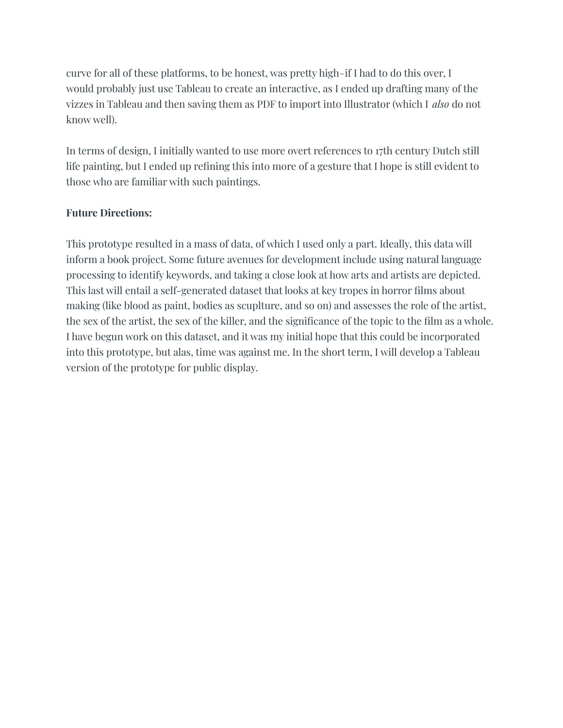curve for all of these platforms, to be honest, was pretty high–if I had to do this over, I would probably just use Tableau to create an interactive, as I ended up drafting many of the vizzes in Tableau and then saving them as PDF to import into Illustrator (which I *also* do not know well).

In terms of design, I initially wanted to use more overt references to 17th century Dutch still life painting, but I ended up refining this into more of a gesture that I hope is still evident to those who are familiar with such paintings.

# **Future Directions:**

This prototype resulted in a mass of data, of which I used only a part. Ideally, this data will inform a book project. Some future avenues for development include using natural language processing to identify keywords, and taking a close look at how arts and artists are depicted. This last will entail a self-generated dataset that looks at key tropes in horror films about making (like blood as paint, bodies as scuplture, and so on) and assesses the role of the artist, the sex of the artist, the sex of the killer, and the significance of the topic to the film as a whole. I have begun work on this dataset, and it was my initial hope that this could be incorporated into this prototype, but alas, time was against me. In the short term, I will develop a Tableau version of the prototype for public display.